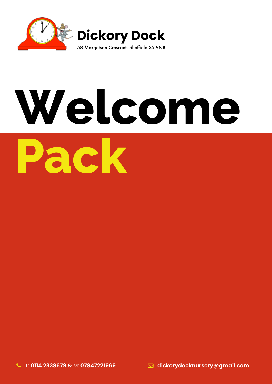

# **Welcome Pack**

T: **0114 2338679 &** M: **07847221969 dickorydocknursery@gmail.com**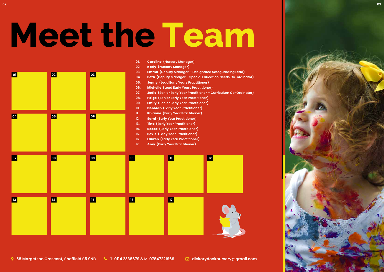# **Meet the Team**



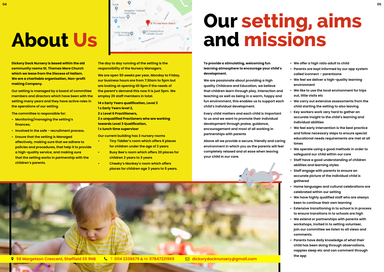## **About Us**

### **Our setting, aims and missions**

**Dickory Dock Nursery is based within the old community rooms St. Thomas More Church which we lease from the Diocese of Hallam. We are a charitable organisation, Non-profit making Company.**

**Our setting is managed by a board of committee members and directors which have been with the setting many years and they have active roles in the operations of our setting.** 

**The committee is responsible for:**

- **• Monitoring/managing the setting's finances;**
- **• Involved in the safe recruitment process.**
- **• Ensure that the setting is Managed effectively, making sure that we adhere to policies and procedures, that help it to provide a high-quality service; and making sure that the setting works in partnership with the children's parents.**

**The day to day running of the setting is the responsibility of the Nursery Managers.**

**We are open 50 weeks per year, Monday to Friday, our business hours are from 7:30am to 5pm but are looking at opening till 6pm if the needs of the parent's demand this now it is just 5pm. We employ 20 staff members in total.**

**14 x Early Years qualification, Level 3 1 x Early Years level 2, 2 x Level 6 Practitioners, 2 x unqualified Practioners who are working towards Level 3 Qualification, 1 x lunch time supervisor**

**Our current building has 3 nursery rooms** 

- **• Tiny Tiddler's room which offers 6 places for children under the age of 2 years**
- **• Busy Bee's room which offers 20 places for children 2 years to 3 years**
- **• Cheeky's Monkey's room which offers places for children age 3 years to 5 years.**

**To provide a stimulating, welcoming fun learning atmosphere to encourage your child's development.**

**We are passionate about providing a high quality Childcare and Education, we believe that children learn through play, interaction and teaching as well as being in a warm, happy and fun environment, this enables us to support each child's individual development.** 

**Every child matters and each child is important to us and we want to promote their individual development through praise, guidance, encouragement and most of all working in partnerships with parents**

**Above all we provide a secure, friendly and caring environment in which you as the parents will feel completely relaxed and at ease when leaving your child in our care.**

- **• We offer a high ratio adult to child**
- **• Parents are kept informed by our app system called iconnect – parentzone**
- **• We feel we deliver a high-quality learning environment**
- **• We like to use the local environment for trips out, little visits etc**
- **• We carry out extensive assessments from the child starting the setting to also leaving**
- **• Key workers work very hard to gather an accurate insight to the child's learning and individual abilities**
- **• We feel early intervention is the best practice and follow necessary steps to ensure special educational needs requirements are met at all times**
- **• We operate using a good methods in order to safeguard our child within our care**
- **• Staff have a good understanding of children abilities and learning styles**
- **• Staff engage with parents to ensure an accurate picture of the individual child is gathered**
- **• Home languages and cultural celebrations are celebrated within our setting**
- **• We have highly qualified staff who are always keen to continue their own learning**
- **• Extensive transitioning in to school is in process to ensure transitions in to schools are high**
- **• We extend or partnerships with parents with workshops, invited in to setting volunteer, join our committee we listen to all views and comments.**
- **• Parents have daily knowledge of what their child has been doing through observations, nappies sleep etc and can comment through the app**

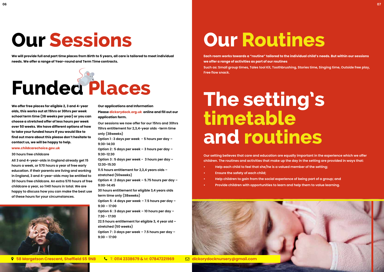### **Our Sessions**

## **Funded Places**

**We will provide full and part time places from Birth to 5 years, all care is tailored to meet individual needs. We offer a range of Year-round and Term Time contracts.**

**We offer free places for eligible 2, 3 and 4-year olds, this works out at 15hrs or 30hrs per week school term time (38 weeks per year) or you can choose a stretched offer of less hours per week over 50 weeks. We have different options of how to take your funded hours If you would like to find out more about this please don't hesitate to contact us, we will be happy to help.**

#### **www.childcarechoice.gov.uk**

#### **30 hours free childcare**

**All 3 and 4-year-olds in England already get 15 hours a week, or 570 hours a year of free early education. If their parents are living and working in England, 3 and 4-year-olds may be entitled to 30 hours free childcare. An extra 570 hours of free childcare a year, so 1140 hours in total. We are happy to discuss how you can make the best use of these hours for your circumstances.**



#### **Our applications and Information**

**Please dickorydock.org.uk online and fill out our application form.**

**Our sessions we now offer for our 15hrs and 30hrs 15hrs entitlement for 2,3,4-year olds -term time only (38weeks)**

**Option 1 : 3 days per week - 5 hours per day – 9:30-14:30**

**Option 2 : 5 days per week – 3 hours per day – 9:30-12:30**

**Option 3 : 5 days per week - 3 hours per day – 12:30-15:30**

**11.5 hours entitlement for 2,3,4 years olds – stretched (50weeks)** 

**Option 4 : 2 days per week – 5.75 hours per day – 9:00-14:45**

**30 hours entitlement for eligible 3,4 years olds term time only (38weeks)**

**Option 5 : 4 days per week – 7.5 hours per day – 9:30 – 17:00**

**Option 6 : 3 days per week – 10 hours per day – 7:30 - 17:00**

**22.5 hours entitlement for eligible 3, 4 year old – stretched (50 weeks)**

**Option 7 : 3 days per week – 7.5 hours per day – 9:30 – 17:00**

**Each room works towards a "routine" tailored to the individual child's needs. But within our sessions we offer a range of activities as part of our routines Such as: Small group times, Tales tool Kit, Toothbrushing, Stories time, Singing time, Outside free play, Free flow snack.**

**Our setting believes that care and education are equally important in the experience which we offer children. The routines and activities that make up the day in the setting are provided in ways that: • Help each child to feel that she/he is a valued member of the setting;**

- 
- **• Ensure the safety of each child;**
- **• Help children to gain from the social experience of being part of a group; and**
- **• Provide children with opportunities to learn and help them to value learning.**



### **Our Routines**

#### **The setting's timetable and routines**

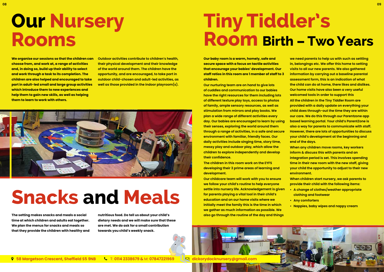### **Our Nursery Rooms**

### **Tiny Tiddler's Room Birth – Two Years**

**We organise our sessions so that the children can choose from, and work at, a range of activities and, in doing so, build up their ability to select and work through a task to its completion. The children are also helped and encouraged to take part in adult-led small and large group activities which introduce them to new experiences and help them to gain new skills, as well as helping them to learn to work with others.** 

**Outdoor activities contribute to children's health, their physical development and their knowledge of the world around them. The children have the opportunity, and are encouraged, to take part in outdoor child-chosen and adult-led activities, as well as those provided in the indoor playroom(s).**



### **estile into nursery life. Acknowledgement is given**<br> **ERRES AND CRIS ERRES EXPERIMENTAL CRIS EXPERIMENTAL CRIS EXPERIMENTAL CRIS EXPERIMENTAL CRISE (NAPPIES) PARTIC CONTROLLER PROPIES, Daby wipes and nappy c**

**Our baby room is a warm, homely, safe and secure space with a focus on tactile activities that encourage your babies' development. Our staff ratios in this room are 1 member of staff to 3 children.**

**The children in this room work on the EYFS developing their 3 prime areas of learning and development.**

**Our childcare team will work with you to ensure we follow your child's routine to help everyone settle into nursery life. Acknowledgement is given for parents playing a vital tool in their child's education and on our home visits where we initially meet the family this is the time in which we gather as much information as possible. We also go through the routine of the day and things** 



**Our nurturing team are on hand to give lots of cuddles and communication to our babies have the right resources for them including lots of different texture play toys, access to photos of family, ample sensory resources, as well as stimulation from mirrors and play books. We plan a wide range of different activities every day. Our babies are encouraged to learn by using their senses, exploring the world around them through a range of activities, in a safe and secure environment with familiar, friendly faces. Our daily activities include singing time, story time, messy play and outdoor play, which allow the children to explore independently and develop their confidence. Our home visits have also been a very useful welcomed tools in order to support this All the children in the Tiny Tiddler Room are provided with a daily update on everything your child does through-out the time they are within our care. We do this through our Parentzone app based learning portal. Your child's ParentZone is also a way for parents to communicate with staff. However, there are lots of opportunities to discuss your child's development at the beginning and end of the days. When any children move rooms, key workers inform & discuss this with parents and an integration period is set. This involves spending** 

**we need parents to help us with such as settling in, belongings etc. We offer this home to setting visits to all our new parents. We also gathered information by carrying out a baseline parental assessment form, this is an indication of what the child can do at home, there likes and dislikes.** 

**time in their new room with the new staff, giving your child the opportunity to adjust to their new environment.**

**When children start nursery, we ask parents to provide their child with the following items:**

- **• A change of clothes/weather appropriate clothing and footwear**
- 
- 

**The setting makes snacks and meals a social time at which children and adults eat together. We plan the menus for snacks and meals so that they provide the children with healthy and**  **nutritious food. Do tell us about your child's dietary needs and we will make sure that these are met. We do ask for a small contribution towards you child's weekly snack.**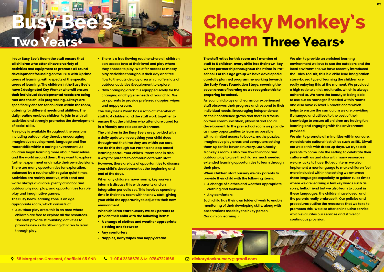### **Cheeky Monkey's Room Three Years+**

**The staff ratios for this room are 1 member of staff to 6 children, every child has their own key worker partnership throughout their time in Preschool. For this age group we have developed a carefully planned programme working towards the Early Years Foundation Stage, covering the seven areas of learning as we recognise this to preparing for school.**

**As your child plays and learns our experienced staff observes their progress and respond to their individual needs. Encouraging independence as their confidence grows and there is a focus on their communication, physical and social development. In the pre-school room we provide as many opportunities to learn as possible with unlimited access to books, maths puzzles, imaginative play areas and computers setting them up for life beyond nursery. Our Cheeky Monkey's room is also free flow to indoor and outdoor play to give the children much needed extended learning opportunities to learn through their play.**

**When children start nursery we ask parents to provide their child with the following items:**

- **• A change of clothes and weather appropriate clothing and footwear**
- **• Any comforters**

**Each child has their own folder of work to enable monitoring of their developing skills, along with observations made by their key person. Our aim on learning -** 



**We aim to provide an enriched learning environment we love to use the outdoors and the local environment, we have recently introduced the Tales Tool Kit, this is a child lead imagination story-based type of learning the children are really enjoying this at the moment. We provided a high ratio to child : adult ratio, which is always adhered to. We have the beauty of being able to use our co manager if needed within rooms and also have x2 level 6 practitioners which helps to ensure the curriculum we are providing if changed and utilised to the best of their knowledge to ensure all children are having fun learning and engaging with the environment provided.**

**We aim to promote all minorities within our care, we celebrate cultural festivities such as EID, Diwali etc we do this with dress up days, we try to ask parents to come into the setting to celebrate their culture with us and also with many resources we are lucky to have. But each term we also implement a new language to make children feel more included within the setting we embrace these languages especially at golden rules times where we are learning a few key words such as sorry, hello, friend but we also learn to count in these languages, the children have loved, and the parents really embrace it. Our policies and procedures outline the measures that we take to promotes this. We also offer an inclusive service which evaluates our services and strive for continuous provision.** 



**In our Busy Bee's Room the staff ensure that all children who attend have a variety of activities and equipment to promote all round development focussing on the EYFS with 3 prime areas of learning, with aspects of the specific areas of learning. The children in the Busy Bee's have 2 designated Key Worker who will ensure their individual developmental needs are being met and the child is progressing. All toys are specifically chosen for children within the room, catering for different needs and abilities. The daily routine enables children to join in with all activities and strongly promotes the development of social skills.**

**Free play is available throughout the sessions including outdoor play thereby encouraging imaginative development, language and fine motor skills within a caring environment. As children begin learning more about themselves and the world around them, they want to explore further, experiment and make their own decisions. There are many opportunities for exploration, balanced by a routine with regular quiet times. Activities are mainly creative, with sand and water always available, plenty of indoor and outdoor physical play, and opportunities for role play and imaginative games.**

**The Busy bee's learning zone is an age appropriate room, which consists of:**

**• A outdoor play area, this is an area where children are free to explore all the resources. The staff provide stimulating activities to promote new skills allowing children to learn through play.**

- **• There is a free flowing routine where all children can access toys at their level and play where they choose to play. We offer access to messy play activities throughout their day and free flow to the outside play area which offers lots of outdoor activities & equipment to explore.**
- **• Own changing area: It is equipped solely for the changing and hygiene needs of your child. We ask parents to provide preferred nappies, wipes and nappy cream.**

**The Busy Bee's Room has a ratio of 1 member of staff to 4 children and the staff work together to ensure that the children who attend are cared for in a friendly and relaxed environment.**

**The children in the Busy Bee's are provided with a daily update on everything your child does through-out the time they are within our care. We do this through our Parentzone app based learning portal. Your child's ParentZone is also a way for parents to communicate with staff. However, there are lots of opportunities to discuss your child's development at the beginning and end of the days.**

**When any children move rooms, key workers inform & discuss this with parents and an integration period is set. This involves spending time in their new room with the new staff, giving your child the opportunity to adjust to their new environment.**

**When children start nursery we ask parents to provide their child with the following items:**

- **• A change of clothes and weather appropriate clothing and footwear**
- **• Any comforters**
- **• Nappies, baby wipes and nappy cream**

**58 Margetson Crescent, Sheffield S5 9NB** T: **0114 2338679 &** M: **07847221969 dickorydocknursery@gmail.com**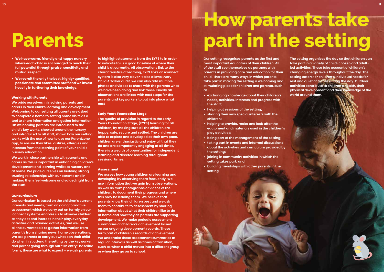- **• We have warm, friendly and happy nursery where each child is encouraged to reach their full potential through praise, sensitivity and mutual respect.**
- **• We recruit the only the best, highly-qualified, passionate and committed staff and we invest heavily in furthering their knowledge.**

#### **Working with Parents**

**We pride ourselves in involving parents and carers in their child's learning and development. Welcoming to our setting all parents are asked to complete a home to setting home visits as a tool to share information and gather information. On welcoming parents are introduced to the child's key works, showed around the nursery and introduced to all staff, shown how our setting works with the use of how to use our Parentzone app, to ensure their likes, dislikes, allergies and interests from the starting point of your child's nursery education.**

**We work in close partnership with parents and carers as this is important in enhancing children's development and learning whilst at nursery and at home. We pride ourselves on building strong, trusting relationships with our parents and in making them feel welcome and valued right from the start.**

#### **Our curriculum**

**Our curriculum is based on the children's current interests and needs, from on going formative assessment which we carry out on termly on our iconnect systems enables us to observe children as they act and interact in their play, everyday activities and planned activities, and we use all the current tools to gather information from parent's from sharing news, home observations. We ask parents to carry out what can their child do when first attend the setting by the keyworker and parent going through our "On entry" baseline forms, these are what to expect – we ask parents** 

**to highlight statements from the EYFS to in order to indicate to us a good baseline of where their child is at currently. All observations link to the characteristics of learning, EYFS links on iconnect system is also very clever it also allows Every Child A Talker audit, we can also add multiple photos and videos to share with the parents what we have been doing and link those. Finally all observations are linked with next steps for the parents and keyworkers to put into place what next**

#### **Early Years Foundation Stage**

**The quality of provision in regard to the Early Years Foundation Stage, (EYFS) learning for all children, by making sure all the children are happy, safe, secure and settled. The children are able to explore and developed at their own pace, children are enthusiastic and enjoy all that they do and are competently engaging at all times, there is a wealth of opportunities for independent learning and directed learning throughout sessional times.** 

#### **Assessment**

**We assess how young children are learning and developing by observing them frequently. We use information that we gain from observations, as well as from photographs or videos of the children, to document their progress and where this may be leading them. We believe that parents know their children best and we ask them to contribute to assessment by sharing information about what their children like to do at home and how they as parents are supporting development. We make periodic assessment summaries of children's achievement based on our ongoing development records. These form part of children's records of achievement. We undertake these assessment summaries at regular intervals as well as times of transition, such as when a child moves into a different group or when they go on to school.**

**Our setting recognises parents as the first and most important educators of their children. All of the staff see themselves as partners with parents in providing care and education for their child. There are many ways in which parents take part in making the setting a welcoming and stimulating place for children and parents, such as:**

- **• exchanging knowledge about their children's needs, activities, interests and progress with the staff;**
- **• helping at sessions of the setting;**
- **• sharing their own special interests with the children;**
- **• helping to provide, make and look after the equipment and materials used in the children's play activities;**
- **• being part of the management of the setting;**
- **• taking part in events and informal discussions about the activities and curriculum provided by the setting;**
- **• joining in community activities in which the setting takes part; and**
- **• building friendships with other parents in the setting.**



**The setting organises the day so that children can take part in a variety of child-chosen and adultled activities. These take account of children's changing energy levels throughout the day. The setting caters for children's individual needs for rest and quiet activities during the day. Outdoor activities contribute to children's health, their physical development and their knowledge of the world around them.** 



#### **Parents**

### **How parents take part in the setting**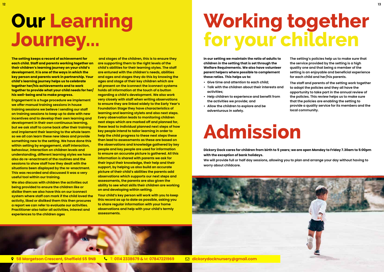**The setting keeps a record of achievement for each child. Staff and parents working together on their children's learning journey on your child's development. It is one of the ways in which the key person and parents work in partnership. Your child's learning journey helps us to celebrate together her/his achievements and to work together to provide what your child needs for her/ his well-being and to make progress.** 

**Engagement is a huge procedure we implement we offer manual training sessions in house training sessions we believe I sending our staff on training sessions to keep up to date with new incentives and to develop their own learning and development in their own continuous learning, but we ask staff to come back after their training and implement their learning to the whole team so we all can learn these new ideas and provide something new to the setting. We have done this within setting by engagement, staff interaction, behaviour, interaction on children levels and understanding, different learning styles we have also do re-enactment of the routines and the sessions to show staff how they dealt with the situations been displayed by the re-enactment. This was recorded and discussed it was a very useful tool within our training.** 

**We also discuss with children the activities out being provided to ensure the children like or dislike them we also have this on our iconnect system where staff can mark if the child loved the activity, liked or disliked them this then procures a report we can refer to evaluate our activities. Practitioner also tailor all activities, interest and experiences to the children ages**

 **and stages of the children, this is to ensure they are supporting them to the right levels of the child's abilities for their learning styles. The staff are entuned with the children's needs, abilities and ages and stages they do this by knowing the ages and stage of their key children which are all present on the iconnect the iconnect systems holds all information at the touch of a button regarding a child's development. We also work very closely with staff when writing observations to ensure they are linked widely to the Early Year's Foundation Stage they have characteristics of learning and learning stylets and also next steps. Every observation leads to monitoring children next steps which are marked off and planned for, these lead to individual planned next steps of how key people intend to tailor learning in order to help the child progress to these next steps these then lead to assessments as these are based on the observations and knowledge gathered by key people and key people are used for information to ensure an accurate picture is gathered. All this information is shared with parents we ask for their input their knowledge, their help and their support, by helping us also build an accurate picture of their child's abilities the parents add observations which supports our next steps and assessments, the parents are also given the ability to see what skills their children are working on and developing within setting.**

**Your child's key person will work with you to keep this record as up to date as possible, asking you to share regular information with your home observations and help with your child's termly assessments.** 

**In our setting we maintain the ratio of adults to children in the setting that is set through the Welfare Requirements. We also have volunteer parent helpers where possible to complement these ratios. This helps us to:**

- **• Give time and attention to each child;**
- **• Talk with the children about their interests and activities;**
- **• Help children to experience and benefit from the activities we provide; and**
- **• Allow the children to explore and be adventurous in safety.**

**The setting's policies help us to make sure that the service provided by the setting is a high quality one and that being a member of the setting is an enjoyable and beneficial experience for each child and her/his parents.**

**The staff and parents of the setting work together to adopt the policies and they all have the opportunity to take part in the annual review of the policies. This review helps us to make sure that the policies are enabling the setting to provide a quality service for its members and the local community.**



### **Our Learning Journey...**

### **Working together for your children**

### **Admission**

**Dickory Dock cares for children from birth to 5 years; we are open Monday to Friday 7.30am to 5:00pm with the exception of bank holidays.** 

**We will provide full or half day sessions, allowing you to plan and arrange your day without having to worry about childcare.** 





**9** 58 Margetson Crescent, Sheffield S5 9NB ↓ T: 0114 2338679 & M: 07847221969 → dickorydocknursery@gmail.com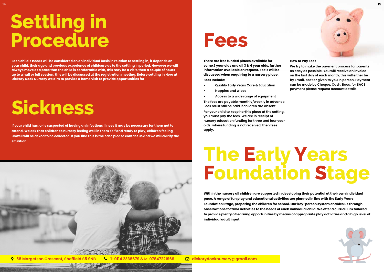**Each child's needs will be considered on an individual basis in relation to settling in, it depends on your child, their age and previous experience of childcare as to the settling in period. However we will always move at a pace that the child is comfortable with, this may be a visit, then a couple of hours up to a half or full session, this will be discussed at the registration meeting. Before settling in Here at Dickory Dock Nursery we aim to provide a home visit to provide opportunities for** 

### **Settling in Procedure**



### **Sickness**

### **The Early Years Foundation Stage**

**If your child has, or is suspected of having an infectious illness it may be necessary for them not to attend. We ask that children to nursery feeling well in them self and ready to play, children feeling unwell will be asked to be collected. If you find this is the case please contact us and we will clarify the situation.**



**9** 58 Margetson Crescent, Sheffield S5 9NB ↓ T: 0114 2338679 & M: 07847221969 → dickorydocknursery@gmail.com

**Within the nursery all children are supported in developing their potential at their own individual pace. A range of fun play and educational activities are planned in line with the Early Years Foundation Stage, preparing the children for school. Our key-person system enables us through observations to tailor activities to the needs of each individual child. We offer a curriculum tailored to provide plenty of learning opportunities by means of appropriate play activities and a high level of individual adult input.**

**Fees**

**There are free funded places available for some 2 year olds and all 3 & 4 year olds, further information available on request. Fee's will be discussed when enquiring to a nursery place. Fees Include:**

- **• Quality Early Years Care & Education**
- **• Nappies and wipes**
- **• Access to a wide range of equipment**

**The fees are payable monthly/weekly in advance. Fees must still be paid if children are absent.** 

**For your child to keep her/his place at the setting, you must pay the fees. We are in receipt of nursery education funding for three and four year olds; where funding is not received, then fees apply.**

#### **How to Pay Fees**

**We try to make the payment process for parents as easy as possible. You will receive an invoice on the last day of each month, this will either be by Email, post or given to you in person. Payment can be made by Cheque, Cash, Bacs, for BACS payment please request account details.** 

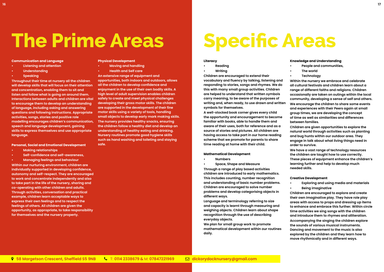#### **Communication and Language**

- **• Listening and attention**
- **• Understanding**
- **• Speaking**

**Throughout their time at nursery all the children will develop skills that will focus on their attention and concentration, enabling them to sit and listen and follow what is going on around them. Interactions between adults and children are vital to encourage them to develop an understanding of language, including asking and answering questions and following instructions. Appropriate activities, songs, stories and positive role modelling encourages children's communication, speech and language development, gaining skills to express themselves and use appropriate language.**

**Personal, Social and Emotional Development**

- **• Making relationships**
- **• Self-confidence and self-awareness,**
- **• Managing feelings and behaviour**

**Within our nurturing environment, children are individually supported in developing confidence, autonomy and self-respect. They are encouraged to work and concentrate independently and also to take part in the life of the nursery, sharing and co-operating with other children and adults. Through activities, conversation and practical example, children learn acceptable ways to express their own feelings and to respect the feelings of others. All children are given the opportunity, as appropriate, to take responsibility for themselves and the nursery property.**

#### **Physical Development**

- **• Moving and handling**
- **• Health and Self care**

**An extensive range of equipment and opportunities, both indoors and outdoors, allows all the children to develop confidence and enjoyment in the use of their own bodily skills. A high level of adult supervision enables children safely to create and meet physical challenges developing their gross motor skills. The children are supported in the development of their fine motor skills using a variety of tools, handling small objects to develop early mark making skills. The nursery provides healthy snacks, ensuring the children follow a healthy diet and develop an understanding of healthy eating and drinking. Nursery routines promote good hygiene skills such as hand washing and toileting and staying safe.**

#### **Literacy**

- **• Reading**
- **• Writing**

**A well-stocked book corner gives every child the opportunity and encouragement to become familiar with books, able to handle them and aware of their uses, both for reference and as a source of stories and pictures. All children are having access to take part in our home reading scheme that we promote for parents to share time reading at home with their child.**

#### **Mathematical Development**

- **• Numbers**
- **• Space, Shape and Measure**

**Through a range of play based activities children are introduced to early mathematics. This includes counting, number recognition and understanding of basic number problems. Children are encouraged to solve number problems and develop categorising objects in different ways.**

**Children are encouraged to extend their vocabulary and fluency by talking, listening and responding to stories, songs and rhymes. We do this with many small group activities. Children are helped to understand that written symbols carry meaning, to be aware of the purposes of writing and, when ready, to use drawn and written symbols for themselves. Within the nursery we embrace and celebrate all cultural festivals and children learn about a range of different faiths and religions. Children occasionally are taken on outings within the local community, developing a sense of self and others. We encourage the children to share some events and experiences with their Peers again at small group times, we are developing the concept of time as well as similarities and differences between families.**

**Language and terminology referring to size and capacity is learnt through measuring and weighing objects. Children learn about shape recognition through the use of describing everyday objects.**

**We plan for small group work to promote mathematical development within our routines daily.** 

#### **Knowledge and Understanding**

- **• People and communities,**
- **• The world**
- **• Technology**

**Children are given opportunities to explore the natural world through activities such as planting and bug hunts within our outdoor area. They engage in talk about what living things need in order to survive.**

**We have a vast range of technology resources the children are taught how to use correctly. These pieces of equipment enhance the children's learning further and help to develop much needed skills.**

#### **Creative Development**

**• Exploring and using media and materials • Being imaginative**

**Children are encouraged to explore and create their own imaginative play. They have role play areas with access to props and dressing up items to enhance and embrace this further. Within circle time activities we sing songs with the children and introduce them to rhymes and alliteration. Accompanying the singing the children explore the sounds of various musical instruments. Dancing and movement to the music is also explored by the children and they learn how to move rhythmically and in different ways.**

## **The Prime Areas Specific Areas**